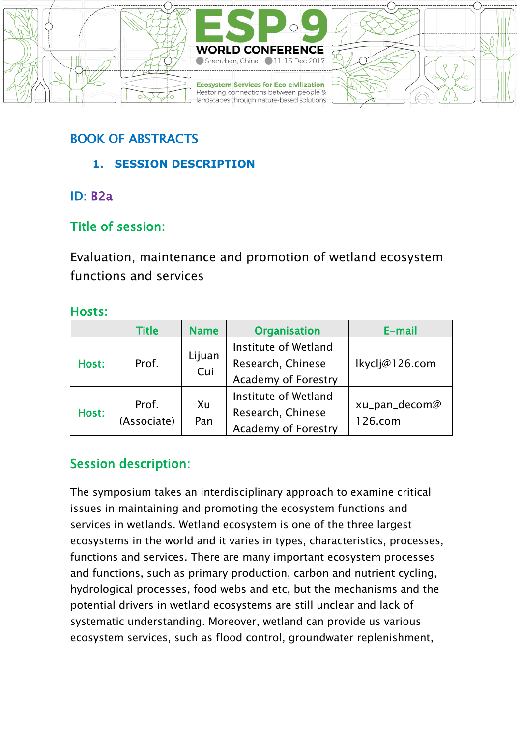

### BOOK OF ABSTRACTS

- **1. SESSION DESCRIPTION**
- ID: B2a

### Title of session:

Evaluation, maintenance and promotion of wetland ecosystem functions and services

### Hosts:

|       | <b>Title</b>         | <b>Name</b>   | <b>Organisation</b>                                              | E-mail                   |
|-------|----------------------|---------------|------------------------------------------------------------------|--------------------------|
| Host: | Prof.                | Lijuan<br>Cui | Institute of Wetland<br>Research, Chinese<br>Academy of Forestry | lkyclj@126.com           |
| Host: | Prof.<br>(Associate) | Xu<br>Pan     | Institute of Wetland<br>Research, Chinese<br>Academy of Forestry | xu_pan_decom@<br>126.com |

### Session description:

The symposium takes an interdisciplinary approach to examine critical issues in maintaining and promoting the ecosystem functions and services in wetlands. Wetland ecosystem is one of the three largest ecosystems in the world and it varies in types, characteristics, processes, functions and services. There are many important ecosystem processes and functions, such as primary production, carbon and nutrient cycling, hydrological processes, food webs and etc, but the mechanisms and the potential drivers in wetland ecosystems are still unclear and lack of systematic understanding. Moreover, wetland can provide us various ecosystem services, such as flood control, groundwater replenishment,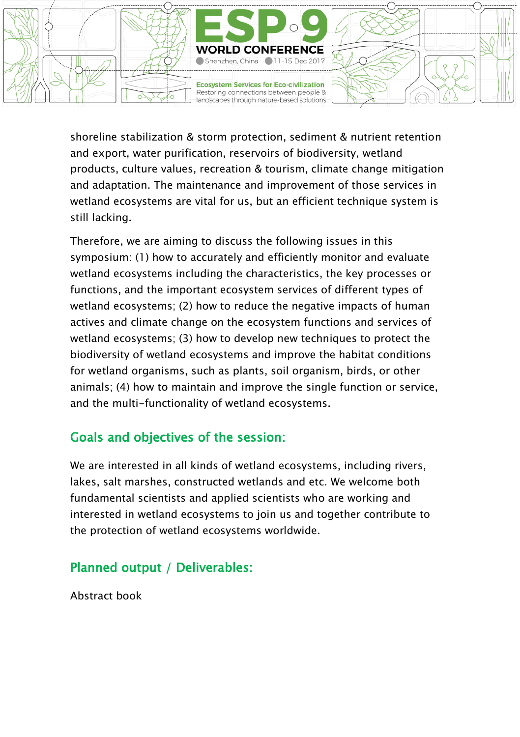

shoreline stabilization & storm protection, sediment & nutrient retention and export, water purification, reservoirs of biodiversity, wetland products, culture values, recreation & tourism, climate change mitigation and adaptation. The maintenance and improvement of those services in wetland ecosystems are vital for us, but an efficient technique system is still lacking.

Therefore, we are aiming to discuss the following issues in this symposium: (1) how to accurately and efficiently monitor and evaluate wetland ecosystems including the characteristics, the key processes or functions, and the important ecosystem services of different types of wetland ecosystems; (2) how to reduce the negative impacts of human actives and climate change on the ecosystem functions and services of wetland ecosystems; (3) how to develop new techniques to protect the biodiversity of wetland ecosystems and improve the habitat conditions for wetland organisms, such as plants, soil organism, birds, or other animals; (4) how to maintain and improve the single function or service, and the multi-functionality of wetland ecosystems.

### Goals and objectives of the session:

We are interested in all kinds of wetland ecosystems, including rivers, lakes, salt marshes, constructed wetlands and etc. We welcome both fundamental scientists and applied scientists who are working and interested in wetland ecosystems to join us and together contribute to the protection of wetland ecosystems worldwide.

### Planned output / Deliverables:

Abstract book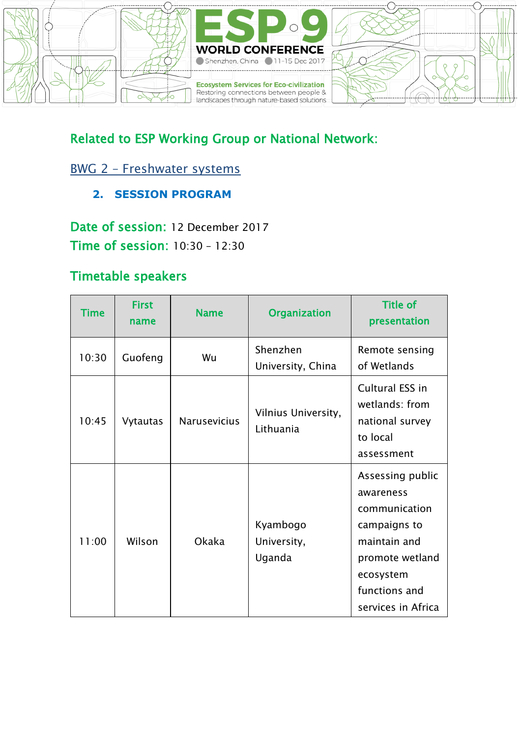

### Related to ESP Working Group or National Network:

### BWG 2 – [Freshwater systems](https://www.es-partnership.org/community/workings-groups/biome-working-groups/bwg-2-freshwater-systems/)

**2. SESSION PROGRAM**

Date of session: 12 December 2017 Time of session: 10:30 – 12:30

### Timetable speakers

| Time  | <b>First</b><br>name | <b>Name</b>         | <b>Organization</b>               | <b>Title of</b><br>presentation                                                                                                                       |
|-------|----------------------|---------------------|-----------------------------------|-------------------------------------------------------------------------------------------------------------------------------------------------------|
| 10:30 | Guofeng              | Wu                  | Shenzhen<br>University, China     | Remote sensing<br>of Wetlands                                                                                                                         |
| 10:45 | Vytautas             | <b>Narusevicius</b> | Vilnius University,<br>Lithuania  | Cultural ESS in<br>wetlands: from<br>national survey<br>to local<br>assessment                                                                        |
| 11:00 | Wilson               | Okaka               | Kyambogo<br>University,<br>Uganda | Assessing public<br>awareness<br>communication<br>campaigns to<br>maintain and<br>promote wetland<br>ecosystem<br>functions and<br>services in Africa |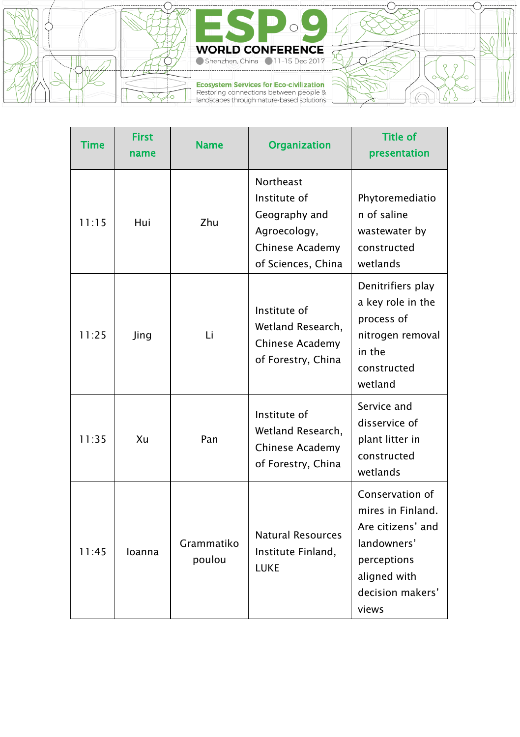



Ecosystem Services for Eco-civilization<br>Restoring connections between people &<br>landscapes through nature-based solutions

| --- | <br>---- |    | ----------- |
|-----|----------|----|-------------|
|     |          |    |             |
|     |          |    |             |
|     |          |    |             |
|     |          | ۰ô |             |
|     |          |    |             |

| <b>Time</b> | <b>First</b><br>name | <b>Name</b>          | <b>Organization</b>                                                                                 | <b>Title of</b><br>presentation                                                                                                      |
|-------------|----------------------|----------------------|-----------------------------------------------------------------------------------------------------|--------------------------------------------------------------------------------------------------------------------------------------|
| 11:15       | Hui                  | 7hu                  | Northeast<br>Institute of<br>Geography and<br>Agroecology,<br>Chinese Academy<br>of Sciences, China | Phytoremediatio<br>n of saline<br>wastewater by<br>constructed<br>wetlands                                                           |
| 11:25       | Jing                 | Li                   | Institute of<br>Wetland Research,<br>Chinese Academy<br>of Forestry, China                          | Denitrifiers play<br>a key role in the<br>process of<br>nitrogen removal<br>in the<br>constructed<br>wetland                         |
| 11:35       | Xu                   | Pan                  | Institute of<br>Wetland Research,<br>Chinese Academy<br>of Forestry, China                          | Service and<br>disservice of<br>plant litter in<br>constructed<br>wetlands                                                           |
| 11:45       | loanna               | Grammatiko<br>poulou | Natural Resources<br>Institute Finland,<br>LUKE                                                     | Conservation of<br>mires in Finland.<br>Are citizens' and<br>landowners'<br>perceptions<br>aligned with<br>decision makers'<br>views |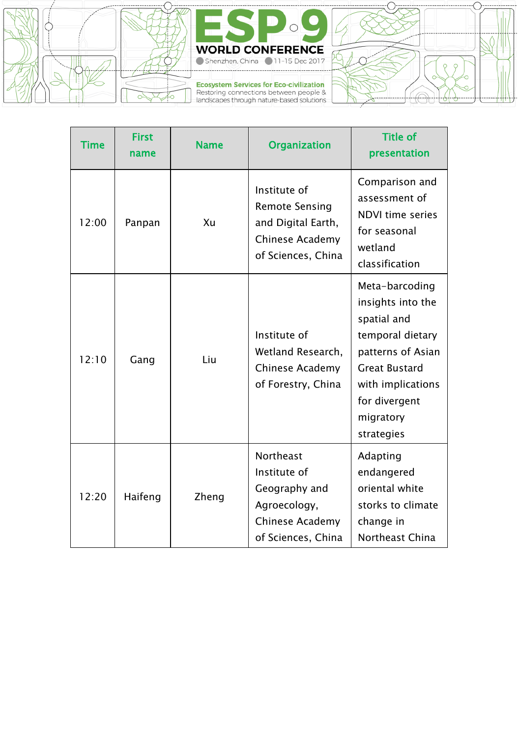



Ecosystem Services for Eco-civilization<br>Restoring connections between people &<br>landscapes through nature-based solutions

| -0<br>m<br>۰ | . <i>.</i> |
|--------------|------------|

| Time  | <b>First</b><br>name | <b>Name</b> | <b>Organization</b>                                                                                  | <b>Title of</b><br>presentation                                                                                                                                                      |
|-------|----------------------|-------------|------------------------------------------------------------------------------------------------------|--------------------------------------------------------------------------------------------------------------------------------------------------------------------------------------|
| 12:00 | Panpan               | Xu          | Institute of<br><b>Remote Sensing</b><br>and Digital Earth,<br>Chinese Academy<br>of Sciences, China | Comparison and<br>assessment of<br>NDVI time series<br>for seasonal<br>wetland<br>classification                                                                                     |
| 12:10 | Gang                 | Liu         | Institute of<br>Wetland Research,<br>Chinese Academy<br>of Forestry, China                           | Meta-barcoding<br>insights into the<br>spatial and<br>temporal dietary<br>patterns of Asian<br><b>Great Bustard</b><br>with implications<br>for divergent<br>migratory<br>strategies |
| 12:20 | Haifeng              | Zheng       | Northeast<br>Institute of<br>Geography and<br>Agroecology,<br>Chinese Academy<br>of Sciences, China  | Adapting<br>endangered<br>oriental white<br>storks to climate<br>change in<br>Northeast China                                                                                        |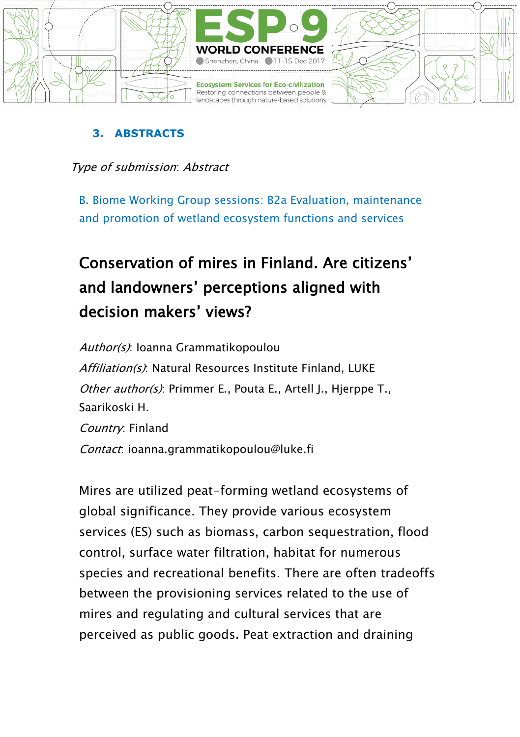

#### **3. ABSTRACTS**

Type of submission: Abstract

B. Biome Working Group sessions: B2a Evaluation, maintenance and promotion of wetland ecosystem functions and services

# Conservation of mires in Finland. Are citizens' and landowners' perceptions aligned with decision makers' views?

Author(s): Ioanna Grammatikopoulou Affiliation(s): Natural Resources Institute Finland, LUKE Other author(s): Primmer E., Pouta E., Artell I., Hierppe T., Saarikoski H. Country: Finland Contact: ioanna.grammatikopoulou@luke.fi

Mires are utilized peat-forming wetland ecosystems of global significance. They provide various ecosystem services (ES) such as biomass, carbon sequestration, flood control, surface water filtration, habitat for numerous species and recreational benefits. There are often tradeoffs between the provisioning services related to the use of mires and regulating and cultural services that are perceived as public goods. Peat extraction and draining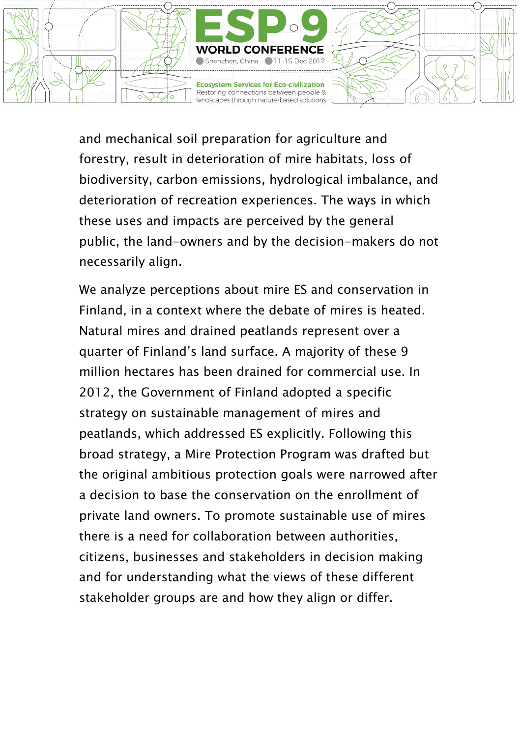

and mechanical soil preparation for agriculture and forestry, result in deterioration of mire habitats, loss of biodiversity, carbon emissions, hydrological imbalance, and deterioration of recreation experiences. The ways in which these uses and impacts are perceived by the general public, the land-owners and by the decision-makers do not necessarily align.

We analyze perceptions about mire ES and conservation in Finland, in a context where the debate of mires is heated. Natural mires and drained peatlands represent over a quarter of Finland's land surface. A majority of these 9 million hectares has been drained for commercial use. In 2012, the Government of Finland adopted a specific strategy on sustainable management of mires and peatlands, which addressed ES explicitly. Following this broad strategy, a Mire Protection Program was drafted but the original ambitious protection goals were narrowed after a decision to base the conservation on the enrollment of private land owners. To promote sustainable use of mires there is a need for collaboration between authorities, citizens, businesses and stakeholders in decision making and for understanding what the views of these different stakeholder groups are and how they align or differ.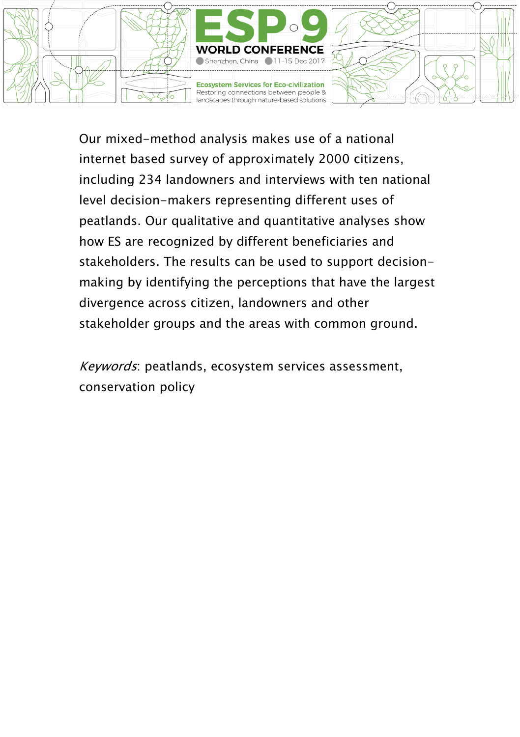

Our mixed-method analysis makes use of a national internet based survey of approximately 2000 citizens, including 234 landowners and interviews with ten national level decision-makers representing different uses of peatlands. Our qualitative and quantitative analyses show how ES are recognized by different beneficiaries and stakeholders. The results can be used to support decisionmaking by identifying the perceptions that have the largest divergence across citizen, landowners and other stakeholder groups and the areas with common ground.

Keywords: peatlands, ecosystem services assessment, conservation policy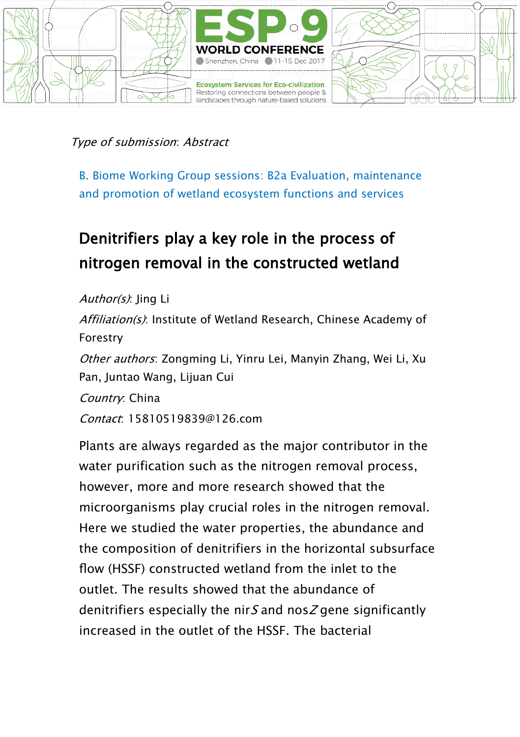

B. Biome Working Group sessions: B2a Evaluation, maintenance and promotion of wetland ecosystem functions and services

## Denitrifiers play a key role in the process of nitrogen removal in the constructed wetland

Author(s): ling Li Affiliation(s): Institute of Wetland Research, Chinese Academy of Forestry Other authors: Zongming Li, Yinru Lei, Manyin Zhang, Wei Li, Xu Pan, Juntao Wang, Lijuan Cui Country: China Contact: 15810519839@126.com

Plants are always regarded as the major contributor in the water purification such as the nitrogen removal process, however, more and more research showed that the microorganisms play crucial roles in the nitrogen removal. Here we studied the water properties, the abundance and the composition of denitrifiers in the horizontal subsurface flow (HSSF) constructed wetland from the inlet to the outlet. The results showed that the abundance of denitrifiers especially the nir  $S$  and nos  $Z$  gene significantly increased in the outlet of the HSSF. The bacterial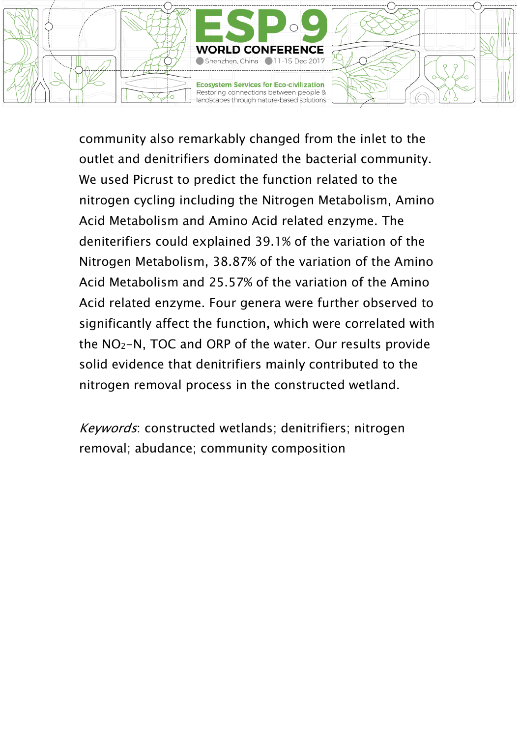

community also remarkably changed from the inlet to the outlet and denitrifiers dominated the bacterial community. We used Picrust to predict the function related to the nitrogen cycling including the Nitrogen Metabolism, Amino Acid Metabolism and Amino Acid related enzyme. The deniterifiers could explained 39.1% of the variation of the Nitrogen Metabolism, 38.87% of the variation of the Amino Acid Metabolism and 25.57% of the variation of the Amino Acid related enzyme. Four genera were further observed to significantly affect the function, which were correlated with the NO2-N, TOC and ORP of the water. Our results provide solid evidence that denitrifiers mainly contributed to the nitrogen removal process in the constructed wetland.

Keywords: constructed wetlands; denitrifiers; nitrogen removal; abudance; community composition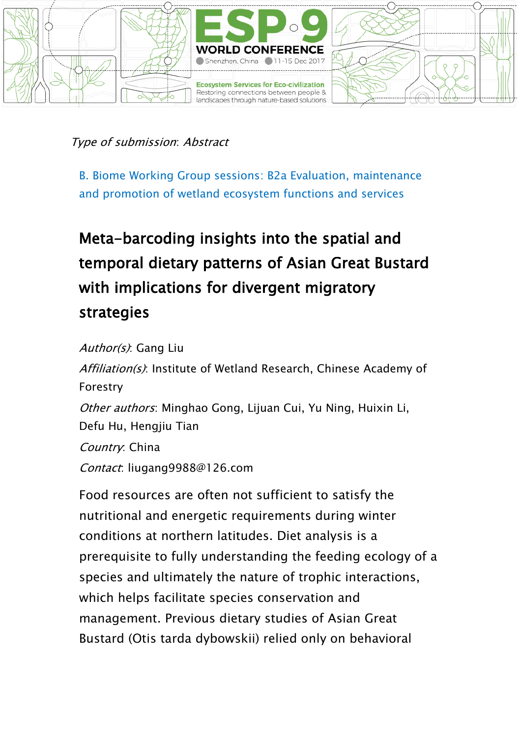

B. Biome Working Group sessions: B2a Evaluation, maintenance and promotion of wetland ecosystem functions and services

# Meta-barcoding insights into the spatial and temporal dietary patterns of Asian Great Bustard with implications for divergent migratory strategies

Author(s): Gang Liu

Affiliation(s): Institute of Wetland Research, Chinese Academy of Forestry Other authors: Minghao Gong, Lijuan Cui, Yu Ning, Huixin Li, Defu Hu, Hengjiu Tian Country: China Contact: liugang9988@126.com

Food resources are often not sufficient to satisfy the nutritional and energetic requirements during winter conditions at northern latitudes. Diet analysis is a prerequisite to fully understanding the feeding ecology of a species and ultimately the nature of trophic interactions, which helps facilitate species conservation and management. Previous dietary studies of Asian Great Bustard (Otis tarda dybowskii) relied only on behavioral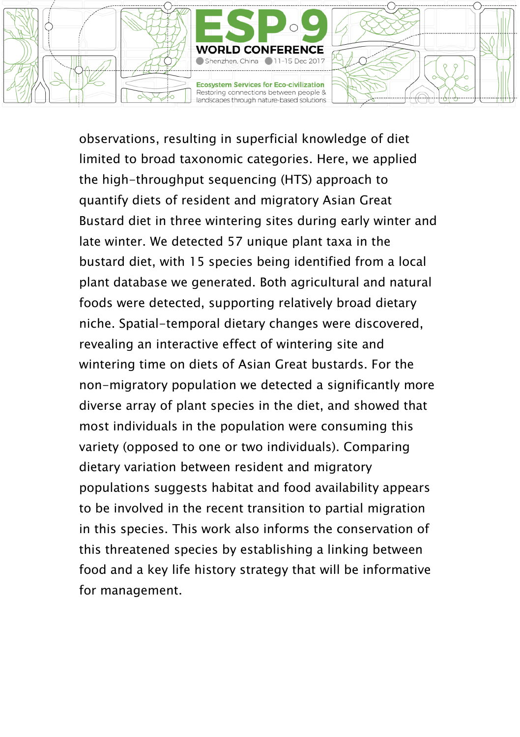

observations, resulting in superficial knowledge of diet limited to broad taxonomic categories. Here, we applied the high-throughput sequencing (HTS) approach to quantify diets of resident and migratory Asian Great Bustard diet in three wintering sites during early winter and late winter. We detected 57 unique plant taxa in the bustard diet, with 15 species being identified from a local plant database we generated. Both agricultural and natural foods were detected, supporting relatively broad dietary niche. Spatial-temporal dietary changes were discovered, revealing an interactive effect of wintering site and wintering time on diets of Asian Great bustards. For the non-migratory population we detected a significantly more diverse array of plant species in the diet, and showed that most individuals in the population were consuming this variety (opposed to one or two individuals). Comparing dietary variation between resident and migratory populations suggests habitat and food availability appears to be involved in the recent transition to partial migration in this species. This work also informs the conservation of this threatened species by establishing a linking between food and a key life history strategy that will be informative for management.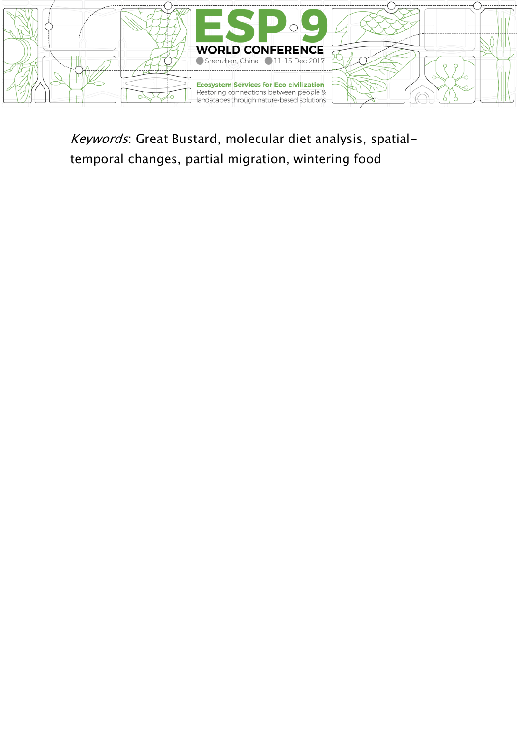

Keywords: Great Bustard, molecular diet analysis, spatialtemporal changes, partial migration, wintering food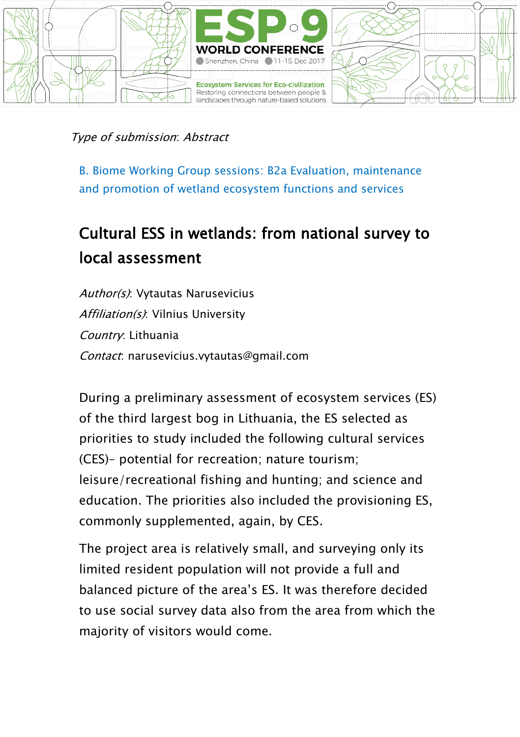

B. Biome Working Group sessions: B2a Evaluation, maintenance and promotion of wetland ecosystem functions and services

## Cultural ESS in wetlands: from national survey to local assessment

Author(s): Vytautas Narusevicius Affiliation(s): Vilnius University Country: Lithuania Contact: narusevicius.vytautas@gmail.com

During a preliminary assessment of ecosystem services (ES) of the third largest bog in Lithuania, the ES selected as priorities to study included the following cultural services (CES)– potential for recreation; nature tourism; leisure/recreational fishing and hunting; and science and education. The priorities also included the provisioning ES, commonly supplemented, again, by CES.

The project area is relatively small, and surveying only its limited resident population will not provide a full and balanced picture of the area's ES. It was therefore decided to use social survey data also from the area from which the majority of visitors would come.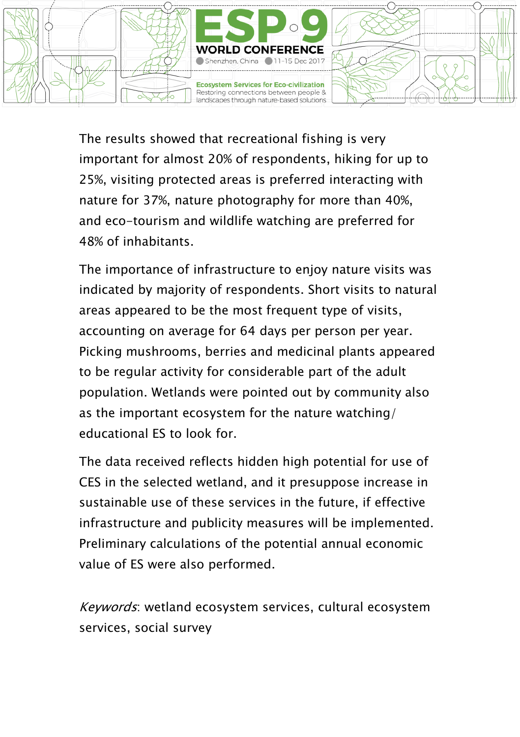

The results showed that recreational fishing is very important for almost 20% of respondents, hiking for up to 25%, visiting protected areas is preferred interacting with nature for 37%, nature photography for more than 40%, and eco-tourism and wildlife watching are preferred for 48% of inhabitants.

The importance of infrastructure to enjoy nature visits was indicated by majority of respondents. Short visits to natural areas appeared to be the most frequent type of visits, accounting on average for 64 days per person per year. Picking mushrooms, berries and medicinal plants appeared to be regular activity for considerable part of the adult population. Wetlands were pointed out by community also as the important ecosystem for the nature watching/ educational ES to look for.

The data received reflects hidden high potential for use of CES in the selected wetland, and it presuppose increase in sustainable use of these services in the future, if effective infrastructure and publicity measures will be implemented. Preliminary calculations of the potential annual economic value of ES were also performed.

Keywords: wetland ecosystem services, cultural ecosystem services, social survey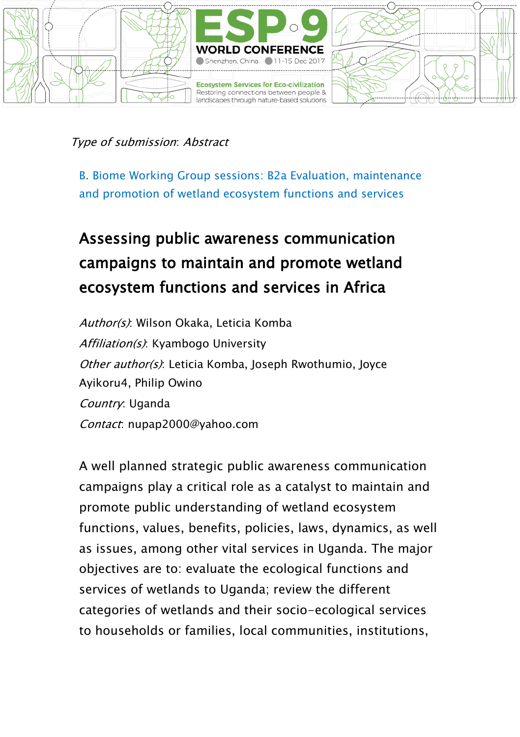

B. Biome Working Group sessions: B2a Evaluation, maintenance and promotion of wetland ecosystem functions and services

# Assessing public awareness communication campaigns to maintain and promote wetland ecosystem functions and services in Africa

Author(s): Wilson Okaka, Leticia Komba Affiliation(s): Kyambogo University Other author(s): Leticia Komba, Joseph Rwothumio, Joyce Ayikoru4, Philip Owino Country: Uganda Contact: nupap2000@yahoo.com

A well planned strategic public awareness communication campaigns play a critical role as a catalyst to maintain and promote public understanding of wetland ecosystem functions, values, benefits, policies, laws, dynamics, as well as issues, among other vital services in Uganda. The major objectives are to: evaluate the ecological functions and services of wetlands to Uganda; review the different categories of wetlands and their socio-ecological services to households or families, local communities, institutions,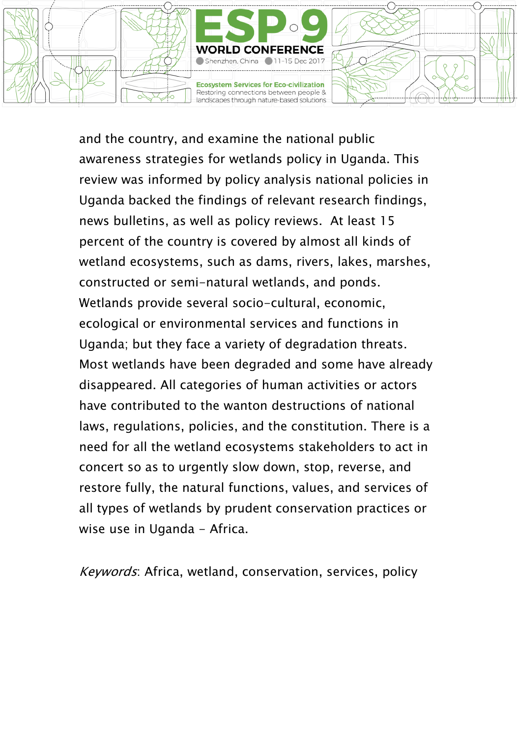

and the country, and examine the national public awareness strategies for wetlands policy in Uganda. This review was informed by policy analysis national policies in Uganda backed the findings of relevant research findings, news bulletins, as well as policy reviews. At least 15 percent of the country is covered by almost all kinds of wetland ecosystems, such as dams, rivers, lakes, marshes, constructed or semi-natural wetlands, and ponds. Wetlands provide several socio-cultural, economic, ecological or environmental services and functions in Uganda; but they face a variety of degradation threats. Most wetlands have been degraded and some have already disappeared. All categories of human activities or actors have contributed to the wanton destructions of national laws, regulations, policies, and the constitution. There is a need for all the wetland ecosystems stakeholders to act in concert so as to urgently slow down, stop, reverse, and restore fully, the natural functions, values, and services of all types of wetlands by prudent conservation practices or wise use in Uganda - Africa.

Keywords: Africa, wetland, conservation, services, policy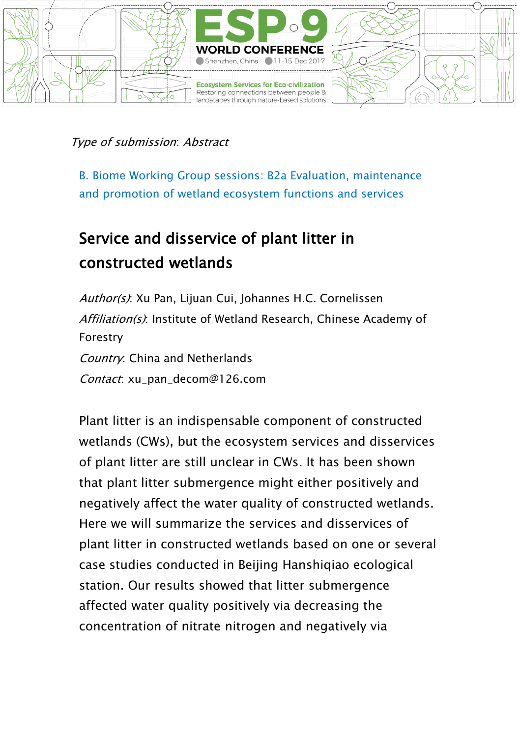

B. Biome Working Group sessions: B2a Evaluation, maintenance and promotion of wetland ecosystem functions and services

## Service and disservice of plant litter in constructed wetlands

Author(s): Xu Pan, Lijuan Cui, Johannes H.C. Cornelissen Affiliation(s): Institute of Wetland Research, Chinese Academy of Forestry Country: China and Netherlands Contact: xu\_pan\_decom@126.com

Plant litter is an indispensable component of constructed wetlands (CWs), but the ecosystem services and disservices of plant litter are still unclear in CWs. It has been shown that plant litter submergence might either positively and negatively affect the water quality of constructed wetlands. Here we will summarize the services and disservices of plant litter in constructed wetlands based on one or several case studies conducted in Beijing Hanshiqiao ecological station. Our results showed that litter submergence affected water quality positively via decreasing the concentration of nitrate nitrogen and negatively via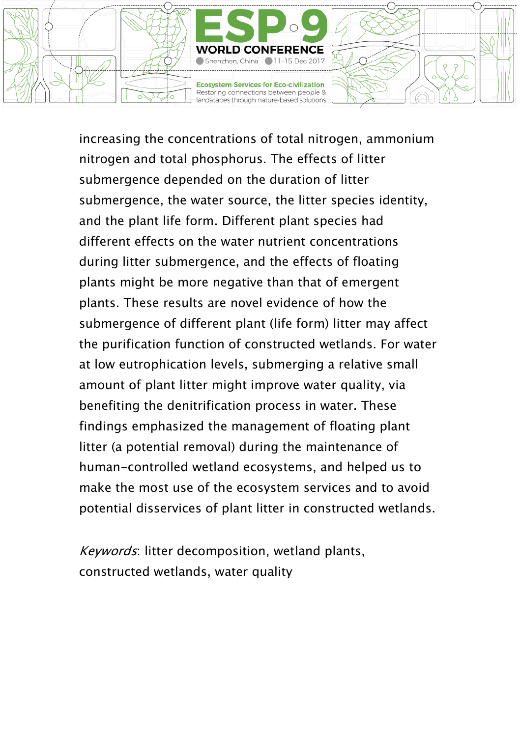

increasing the concentrations of total nitrogen, ammonium nitrogen and total phosphorus. The effects of litter submergence depended on the duration of litter submergence, the water source, the litter species identity, and the plant life form. Different plant species had different effects on the water nutrient concentrations during litter submergence, and the effects of floating plants might be more negative than that of emergent plants. These results are novel evidence of how the submergence of different plant (life form) litter may affect the purification function of constructed wetlands. For water at low eutrophication levels, submerging a relative small amount of plant litter might improve water quality, via benefiting the denitrification process in water. These findings emphasized the management of floating plant litter (a potential removal) during the maintenance of human-controlled wetland ecosystems, and helped us to make the most use of the ecosystem services and to avoid potential disservices of plant litter in constructed wetlands.

Keywords: litter decomposition, wetland plants, constructed wetlands, water quality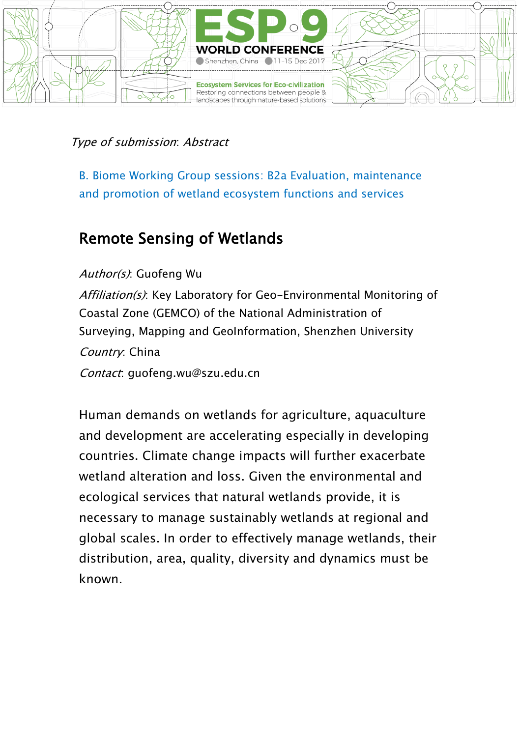

B. Biome Working Group sessions: B2a Evaluation, maintenance and promotion of wetland ecosystem functions and services

### Remote Sensing of Wetlands

Author(s): Guofeng Wu Affiliation(s): Key Laboratory for Geo-Environmental Monitoring of Coastal Zone (GEMCO) of the National Administration of Surveying, Mapping and GeoInformation, Shenzhen University Country: China Contact: guofeng.wu@szu.edu.cn

Human demands on wetlands for agriculture, aquaculture and development are accelerating especially in developing countries. Climate change impacts will further exacerbate wetland alteration and loss. Given the environmental and ecological services that natural wetlands provide, it is necessary to manage sustainably wetlands at regional and global scales. In order to effectively manage wetlands, their distribution, area, quality, diversity and dynamics must be known.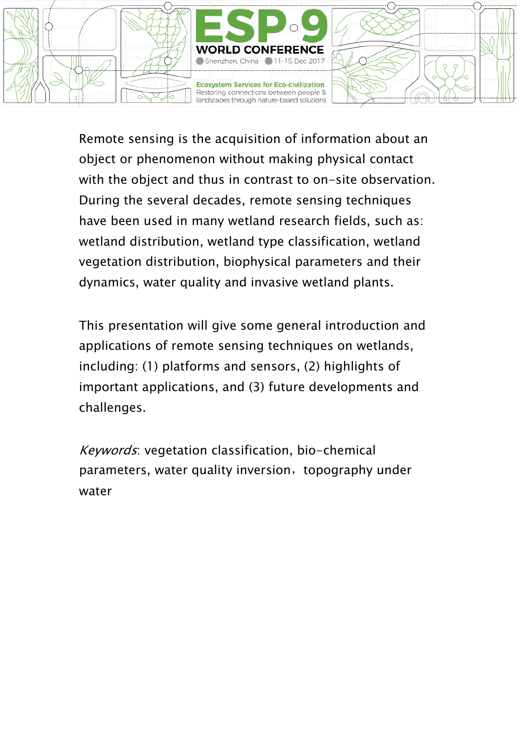

Remote sensing is the acquisition of information about an object or phenomenon without making physical contact with the object and thus in contrast to on-site observation. During the several decades, remote sensing techniques have been used in many wetland research fields, such as: wetland distribution, wetland type classification, wetland vegetation distribution, biophysical parameters and their dynamics, water quality and invasive wetland plants.

This presentation will give some general introduction and applications of remote sensing techniques on wetlands, including: (1) platforms and sensors, (2) highlights of important applications, and (3) future developments and challenges.

Keywords: vegetation classification, bio-chemical parameters, water quality inversion, topography under water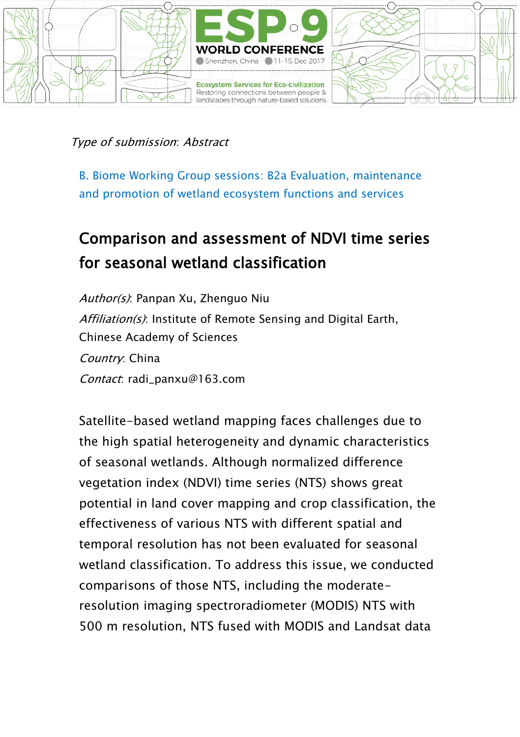

B. Biome Working Group sessions: B2a Evaluation, maintenance and promotion of wetland ecosystem functions and services

## Comparison and assessment of NDVI time series for seasonal wetland classification

Author(s): Panpan Xu, Zhenguo Niu Affiliation(s): Institute of Remote Sensing and Digital Earth, Chinese Academy of Sciences Country: China Contact: radi\_panxu@163.com

Satellite-based wetland mapping faces challenges due to the high spatial heterogeneity and dynamic characteristics of seasonal wetlands. Although normalized difference vegetation index (NDVI) time series (NTS) shows great potential in land cover mapping and crop classification, the effectiveness of various NTS with different spatial and temporal resolution has not been evaluated for seasonal wetland classification. To address this issue, we conducted comparisons of those NTS, including the moderateresolution imaging spectroradiometer (MODIS) NTS with 500 m resolution, NTS fused with MODIS and Landsat data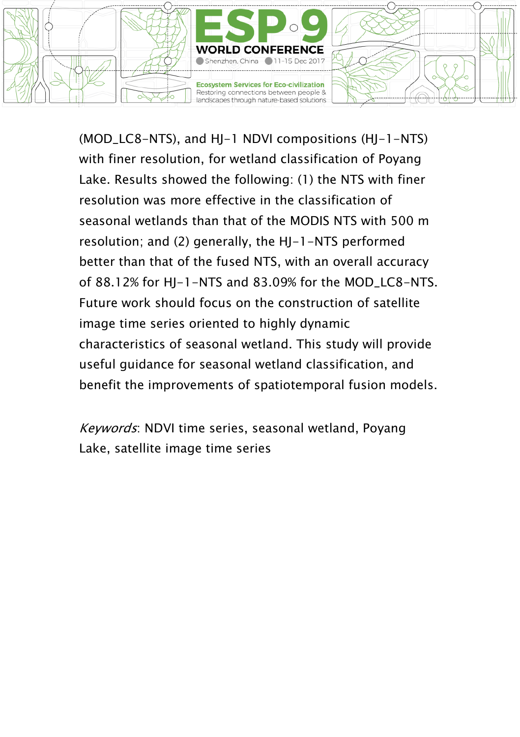

(MOD\_LC8-NTS), and HJ-1 NDVI compositions (HJ-1-NTS) with finer resolution, for wetland classification of Poyang Lake. Results showed the following: (1) the NTS with finer resolution was more effective in the classification of seasonal wetlands than that of the MODIS NTS with 500 m resolution; and (2) generally, the HJ-1-NTS performed better than that of the fused NTS, with an overall accuracy of 88.12% for HJ-1-NTS and 83.09% for the MOD\_LC8-NTS. Future work should focus on the construction of satellite image time series oriented to highly dynamic characteristics of seasonal wetland. This study will provide useful guidance for seasonal wetland classification, and benefit the improvements of spatiotemporal fusion models.

Keywords: NDVI time series, seasonal wetland, Poyang Lake, satellite image time series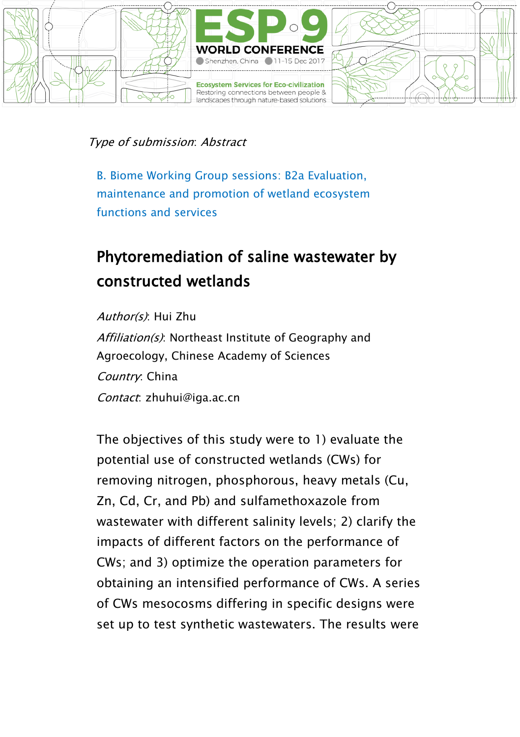

B. Biome Working Group sessions: B2a Evaluation, maintenance and promotion of wetland ecosystem functions and services

## Phytoremediation of saline wastewater by constructed wetlands

Author(s): Hui Zhu Affiliation(s): Northeast Institute of Geography and Agroecology, Chinese Academy of Sciences Country: China Contact: zhuhui@iga.ac.cn

The objectives of this study were to 1) evaluate the potential use of constructed wetlands (CWs) for removing nitrogen, phosphorous, heavy metals (Cu, Zn, Cd, Cr, and Pb) and sulfamethoxazole from wastewater with different salinity levels; 2) clarify the impacts of different factors on the performance of CWs; and 3) optimize the operation parameters for obtaining an intensified performance of CWs. A series of CWs mesocosms differing in specific designs were set up to test synthetic wastewaters. The results were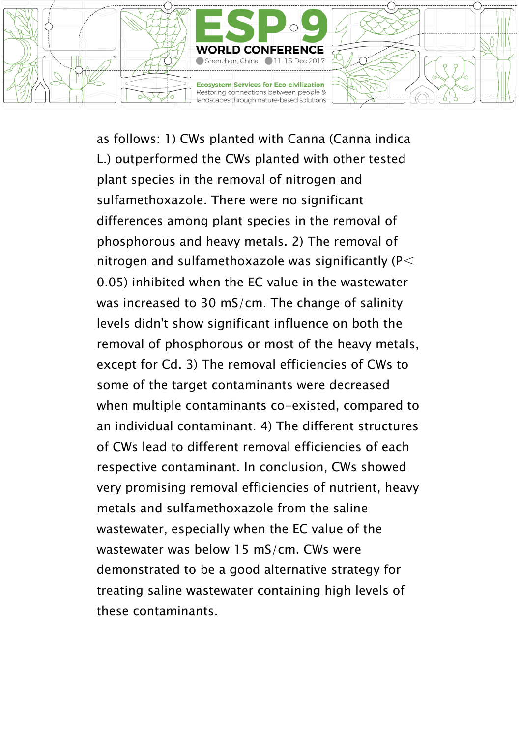

as follows: 1) CWs planted with Canna (Canna indica L.) outperformed the CWs planted with other tested plant species in the removal of nitrogen and sulfamethoxazole. There were no significant differences among plant species in the removal of phosphorous and heavy metals. 2) The removal of nitrogen and sulfamethoxazole was significantly ( $P$   $\leq$ 0.05) inhibited when the EC value in the wastewater was increased to 30 mS/cm. The change of salinity levels didn't show significant influence on both the removal of phosphorous or most of the heavy metals, except for Cd. 3) The removal efficiencies of CWs to some of the target contaminants were decreased when multiple contaminants co-existed, compared to an individual contaminant. 4) The different structures of CWs lead to different removal efficiencies of each respective contaminant. In conclusion, CWs showed very promising removal efficiencies of nutrient, heavy metals and sulfamethoxazole from the saline wastewater, especially when the EC value of the wastewater was below 15 mS/cm. CWs were demonstrated to be a good alternative strategy for treating saline wastewater containing high levels of these contaminants.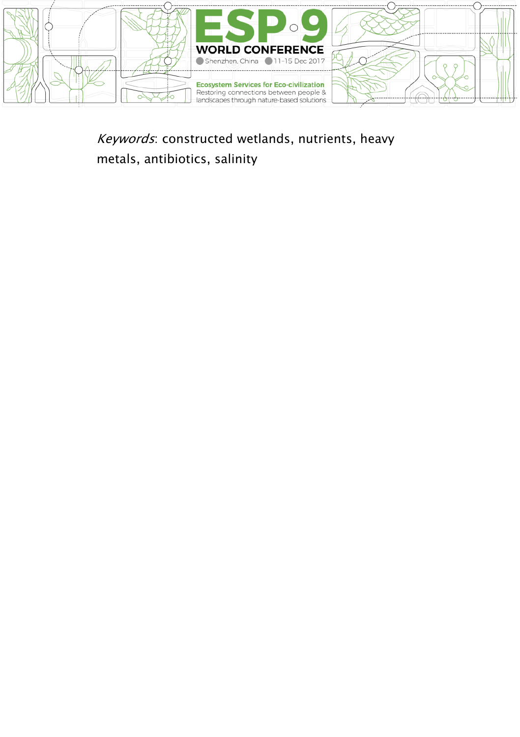

Keywords: constructed wetlands, nutrients, heavy metals, antibiotics, salinity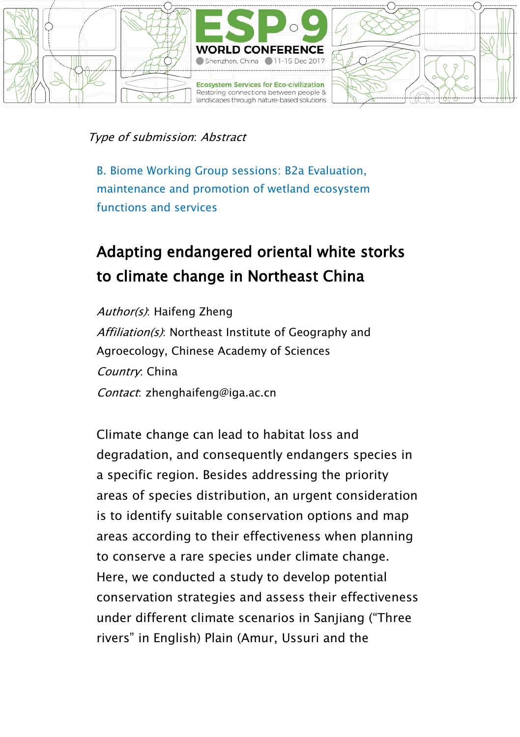

B. Biome Working Group sessions: B2a Evaluation, maintenance and promotion of wetland ecosystem functions and services

## Adapting endangered oriental white storks to climate change in Northeast China

Author(s): Haifeng Zheng Affiliation(s): Northeast Institute of Geography and Agroecology, Chinese Academy of Sciences Country: China Contact: zhenghaifeng@iga.ac.cn

Climate change can lead to habitat loss and degradation, and consequently endangers species in a specific region. Besides addressing the priority areas of species distribution, an urgent consideration is to identify suitable conservation options and map areas according to their effectiveness when planning to conserve a rare species under climate change. Here, we conducted a study to develop potential conservation strategies and assess their effectiveness under different climate scenarios in Sanjiang ("Three rivers" in English) Plain (Amur, Ussuri and the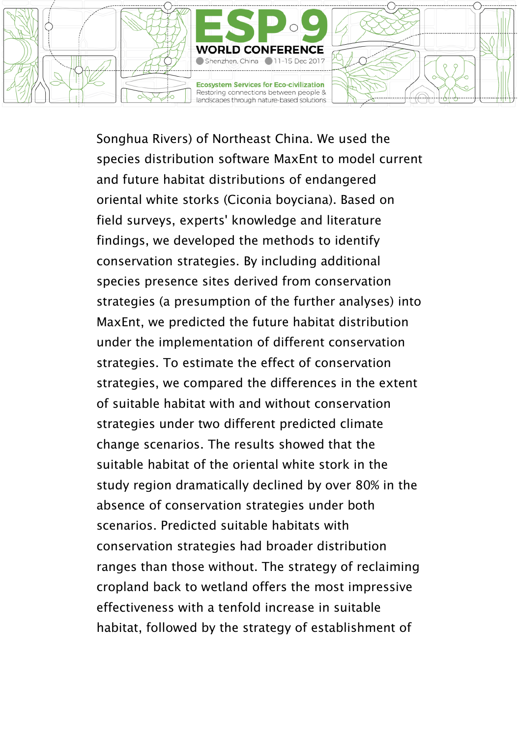

Songhua Rivers) of Northeast China. We used the species distribution software MaxEnt to model current and future habitat distributions of endangered oriental white storks (Ciconia boyciana). Based on field surveys, experts' knowledge and literature findings, we developed the methods to identify conservation strategies. By including additional species presence sites derived from conservation strategies (a presumption of the further analyses) into MaxEnt, we predicted the future habitat distribution under the implementation of different conservation strategies. To estimate the effect of conservation strategies, we compared the differences in the extent of suitable habitat with and without conservation strategies under two different predicted climate change scenarios. The results showed that the suitable habitat of the oriental white stork in the study region dramatically declined by over 80% in the absence of conservation strategies under both scenarios. Predicted suitable habitats with conservation strategies had broader distribution ranges than those without. The strategy of reclaiming cropland back to wetland offers the most impressive effectiveness with a tenfold increase in suitable habitat, followed by the strategy of establishment of